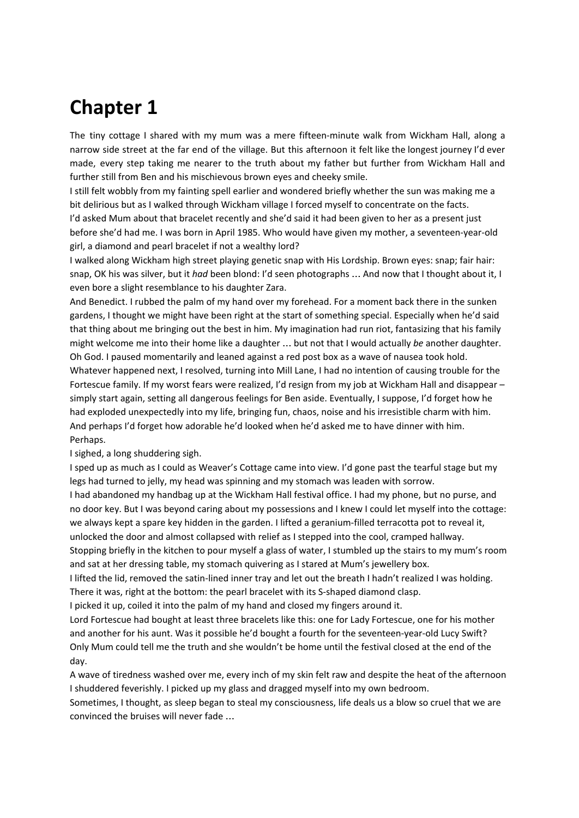## **Chapter 1**

The tiny cottage I shared with my mum was a mere fifteen-minute walk from Wickham Hall, along a narrow side street at the far end of the village. But this afternoon it felt like the longest journey I'd ever made, every step taking me nearer to the truth about my father but further from Wickham Hall and further still from Ben and his mischievous brown eyes and cheeky smile.

I still felt wobbly from my fainting spell earlier and wondered briefly whether the sun was making me a bit delirious but as I walked through Wickham village I forced myself to concentrate on the facts.

I'd asked Mum about that bracelet recently and she'd said it had been given to her as a present just before she'd had me. I was born in April 1985. Who would have given my mother, a seventeen-year-old girl, a diamond and pearl bracelet if not a wealthy lord?

I walked along Wickham high street playing genetic snap with His Lordship. Brown eyes: snap; fair hair: snap, OK his was silver, but it *had* been blond: I'd seen photographs … And now that I thought about it, I even bore a slight resemblance to his daughter Zara.

And Benedict. I rubbed the palm of my hand over my forehead. For a moment back there in the sunken gardens, I thought we might have been right at the start of something special. Especially when he'd said that thing about me bringing out the best in him. My imagination had run riot, fantasizing that his family might welcome me into their home like a daughter … but not that I would actually *be* another daughter. Oh God. I paused momentarily and leaned against a red post box as a wave of nausea took hold. Whatever happened next, I resolved, turning into Mill Lane, I had no intention of causing trouble for the Fortescue family. If my worst fears were realized, I'd resign from my job at Wickham Hall and disappear – simply start again, setting all dangerous feelings for Ben aside. Eventually, I suppose, I'd forget how he had exploded unexpectedly into my life, bringing fun, chaos, noise and his irresistible charm with him. And perhaps I'd forget how adorable he'd looked when he'd asked me to have dinner with him. Perhaps.

I sighed, a long shuddering sigh.

I sped up as much as I could as Weaver's Cottage came into view. I'd gone past the tearful stage but my legs had turned to jelly, my head was spinning and my stomach was leaden with sorrow.

I had abandoned my handbag up at the Wickham Hall festival office. I had my phone, but no purse, and no door key. But I was beyond caring about my possessions and I knew I could let myself into the cottage: we always kept a spare key hidden in the garden. I lifted a geranium-filled terracotta pot to reveal it, unlocked the door and almost collapsed with relief as I stepped into the cool, cramped hallway. Stopping briefly in the kitchen to pour myself a glass of water, I stumbled up the stairs to my mum's room

and sat at her dressing table, my stomach quivering as I stared at Mum's jewellery box.

I lifted the lid, removed the satin-lined inner tray and let out the breath I hadn't realized I was holding. There it was, right at the bottom: the pearl bracelet with its S-shaped diamond clasp.

I picked it up, coiled it into the palm of my hand and closed my fingers around it.

Lord Fortescue had bought at least three bracelets like this: one for Lady Fortescue, one for his mother and another for his aunt. Was it possible he'd bought a fourth for the seventeen-year-old Lucy Swift? Only Mum could tell me the truth and she wouldn't be home until the festival closed at the end of the day.

A wave of tiredness washed over me, every inch of my skin felt raw and despite the heat of the afternoon I shuddered feverishly. I picked up my glass and dragged myself into my own bedroom.

Sometimes, I thought, as sleep began to steal my consciousness, life deals us a blow so cruel that we are convinced the bruises will never fade …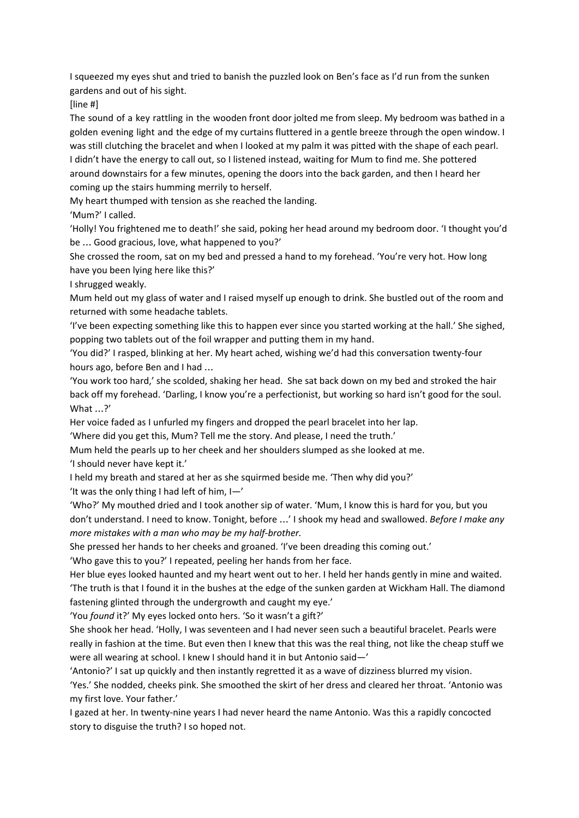I squeezed my eyes shut and tried to banish the puzzled look on Ben's face as I'd run from the sunken gardens and out of his sight.

[line #]

The sound of a key rattling in the wooden front door jolted me from sleep. My bedroom was bathed in a golden evening light and the edge of my curtains fluttered in a gentle breeze through the open window. I was still clutching the bracelet and when I looked at my palm it was pitted with the shape of each pearl. I didn't have the energy to call out, so I listened instead, waiting for Mum to find me. She pottered around downstairs for a few minutes, opening the doors into the back garden, and then I heard her coming up the stairs humming merrily to herself.

My heart thumped with tension as she reached the landing.

'Mum?' I called.

'Holly! You frightened me to death!' she said, poking her head around my bedroom door. 'I thought you'd be … Good gracious, love, what happened to you?'

She crossed the room, sat on my bed and pressed a hand to my forehead. 'You're very hot. How long have you been lying here like this?'

I shrugged weakly.

Mum held out my glass of water and I raised myself up enough to drink. She bustled out of the room and returned with some headache tablets.

'I've been expecting something like this to happen ever since you started working at the hall.' She sighed, popping two tablets out of the foil wrapper and putting them in my hand.

'You did?' I rasped, blinking at her. My heart ached, wishing we'd had this conversation twenty-four hours ago, before Ben and I had …

'You work too hard,' she scolded, shaking her head. She sat back down on my bed and stroked the hair back off my forehead. 'Darling, I know you're a perfectionist, but working so hard isn't good for the soul. What …?'

Her voice faded as I unfurled my fingers and dropped the pearl bracelet into her lap.

'Where did you get this, Mum? Tell me the story. And please, I need the truth.'

Mum held the pearls up to her cheek and her shoulders slumped as she looked at me. 'I should never have kept it.'

I held my breath and stared at her as she squirmed beside me. 'Then why did you?' 'It was the only thing I had left of him,  $I - I'$ 

'Who?' My mouthed dried and I took another sip of water. 'Mum, I know this is hard for you, but you don't understand. I need to know. Tonight, before …' I shook my head and swallowed. *Before I make any more mistakes with a man who may be my half-brother.*

She pressed her hands to her cheeks and groaned. 'I've been dreading this coming out.'

'Who gave this to you?' I repeated, peeling her hands from her face.

Her blue eyes looked haunted and my heart went out to her. I held her hands gently in mine and waited. 'The truth is that I found it in the bushes at the edge of the sunken garden at Wickham Hall. The diamond fastening glinted through the undergrowth and caught my eye.'

'You *found* it?' My eyes locked onto hers. 'So it wasn't a gift?'

She shook her head. 'Holly, I was seventeen and I had never seen such a beautiful bracelet. Pearls were really in fashion at the time. But even then I knew that this was the real thing, not like the cheap stuff we were all wearing at school. I knew I should hand it in but Antonio said—'

'Antonio?' I sat up quickly and then instantly regretted it as a wave of dizziness blurred my vision.

'Yes.' She nodded, cheeks pink. She smoothed the skirt of her dress and cleared her throat. 'Antonio was my first love. Your father.'

I gazed at her. In twenty-nine years I had never heard the name Antonio. Was this a rapidly concocted story to disguise the truth? I so hoped not.